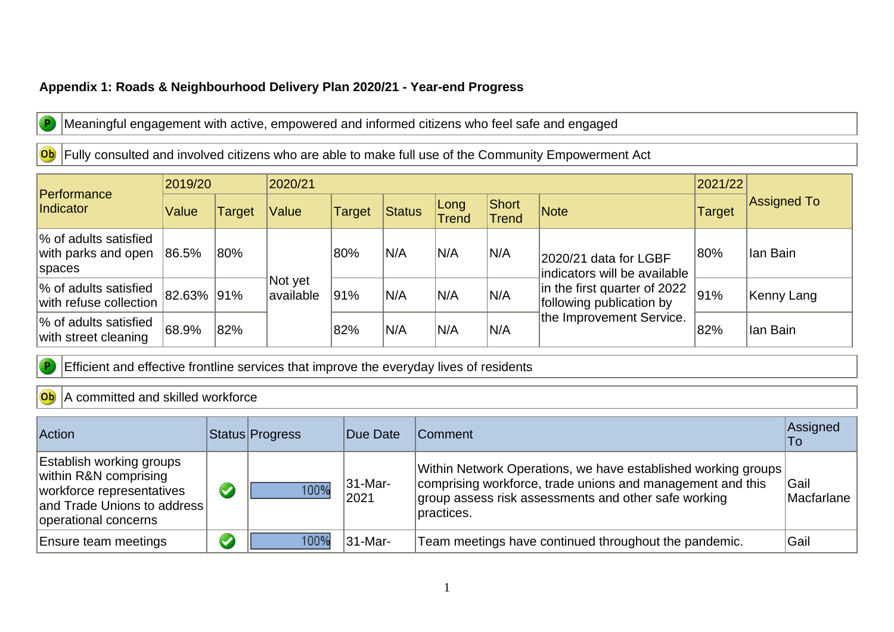## **Appendix 1: Roads & Neighbourhood Delivery Plan 2020/21 - Year-end Progress**



 $\overline{P}$ 

Meaningful engagement with active, empowered and informed citizens who feel safe and engaged

## Ob Fully consulted and involved citizens who are able to make full use of the Community Empowerment Act

| <b>Performance</b><br>Indicator                        | 2019/20    |        | 2020/21               |               | 2021/22 |                      |                |                                                                                                                                               |        |             |
|--------------------------------------------------------|------------|--------|-----------------------|---------------|---------|----------------------|----------------|-----------------------------------------------------------------------------------------------------------------------------------------------|--------|-------------|
|                                                        | Value      | Target | Value                 | <b>Target</b> | Status  | Long<br><b>Trend</b> | Short<br>Trend | <b>Note</b>                                                                                                                                   | Target | Assigned To |
| % of adults satisfied<br>with parks and open<br>spaces | 86.5%      | 80%    |                       | 80%           | N/A     | IN/A                 | N/A            | 2020/21 data for LGBF<br>indicators will be available<br>in the first quarter of 2022<br>following publication by<br>the Improvement Service. | 80%    | Ian Bain    |
| % of adults satisfied<br>with refuse collection        | 82.63% 91% |        | Not yet<br>lavailable | 91%           | N/A     | IN/A                 | N/A            |                                                                                                                                               | 91%    | Kenny Lang  |
| % of adults satisfied<br>with street cleaning          | 68.9%      | 82%    |                       | 82%           | N/A     | IN/A                 | N/A            |                                                                                                                                               | 82%    | Ian Bain    |

Efficient and effective frontline services that improve the everyday lives of residents

## Ob A committed and skilled workforce

| <b>Action</b>                                                                                                                                | Status Progress | Due Date        | <b>Comment</b>                                                                                                                                                                                    | Assigned<br>To     |
|----------------------------------------------------------------------------------------------------------------------------------------------|-----------------|-----------------|---------------------------------------------------------------------------------------------------------------------------------------------------------------------------------------------------|--------------------|
| <b>Establish working groups</b><br>within R&N comprising<br>workforce representatives<br>and Trade Unions to address<br>operational concerns | 100%            | 31-Mar-<br>2021 | Within Network Operations, we have established working groups<br>comprising workforce, trade unions and management and this<br>group assess risk assessments and other safe working<br>practices. | Gail<br>Macfarlane |
| <b>Ensure team meetings</b>                                                                                                                  | 100%            | 31-Mar-         | Team meetings have continued throughout the pandemic.                                                                                                                                             | Gail               |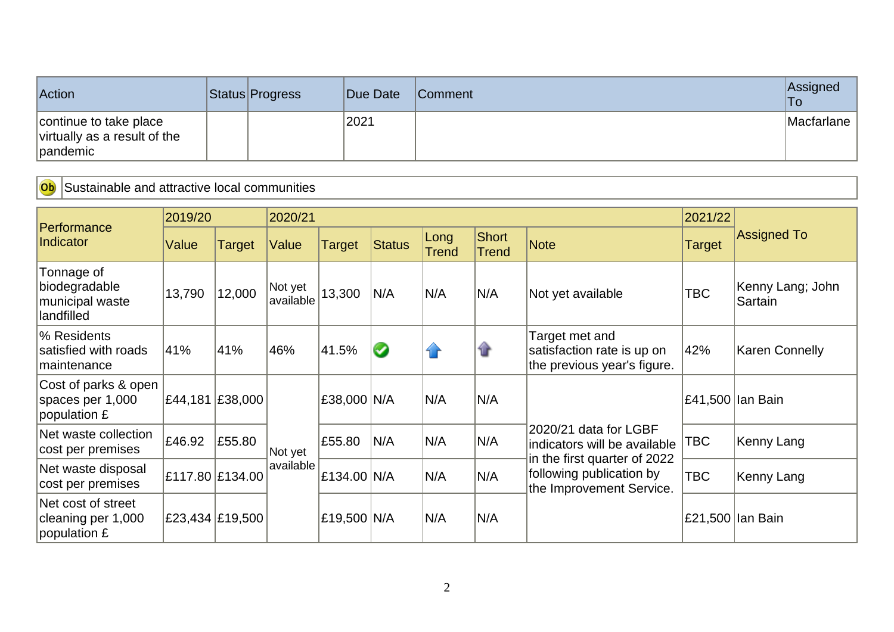| Action                                                             | Status Progress | Due Date | <b>Comment</b> | Assigned<br>'To |
|--------------------------------------------------------------------|-----------------|----------|----------------|-----------------|
| continue to take place<br>virtually as a result of the<br>pandemic |                 | 2021     |                | Macfarlane      |

Ob Sustainable and attractive local communities

|                                                              | 2019/20         |                 | 2020/21              |               |               |                      |                              |                                                                                      | 2021/22       |                             |
|--------------------------------------------------------------|-----------------|-----------------|----------------------|---------------|---------------|----------------------|------------------------------|--------------------------------------------------------------------------------------|---------------|-----------------------------|
| Performance<br>Indicator                                     | Value           | Target          | Value                | <b>Target</b> | <b>Status</b> | Long<br><b>Trend</b> | <b>Short</b><br><b>Trend</b> | <b>Note</b>                                                                          | <b>Target</b> | <b>Assigned To</b>          |
| Tonnage of<br>biodegradable<br>municipal waste<br>landfilled | 13,790          | 12,000          | Not yet<br>available | 13,300        | N/A           | N/A                  | N/A                          | Not yet available                                                                    | <b>TBC</b>    | Kenny Lang; John<br>Sartain |
| % Residents<br>satisfied with roads<br>maintenance           | 41%             | 41%             | 46%                  | 41.5%         | $\bullet$     | $\bigcap$            | ⇑                            | Target met and<br>satisfaction rate is up on<br>the previous year's figure.          | 42%           | <b>Karen Connelly</b>       |
| Cost of parks & open<br>spaces per 1,000<br>population £     |                 | £44,181 £38,000 |                      | £38,000 N/A   |               | N/A                  | N/A                          |                                                                                      |               | £41,500 lan Bain            |
| Net waste collection<br>cost per premises                    | £46.92          | £55.80          | Not yet              | £55.80        | N/A           | N/A                  | N/A                          | 2020/21 data for LGBF<br>indicators will be available                                | TBC           | Kenny Lang                  |
| Net waste disposal<br>cost per premises                      | £117.80 £134.00 |                 | available            | £134.00 N/A   |               | N/A                  | N/A                          | in the first quarter of 2022<br>following publication by<br>the Improvement Service. | <b>TBC</b>    | Kenny Lang                  |
| Net cost of street<br>cleaning per 1,000<br>population £     |                 | £23,434 £19,500 |                      | £19,500 N/A   |               | N/A                  | N/A                          |                                                                                      |               | £21,500 Ian Bain            |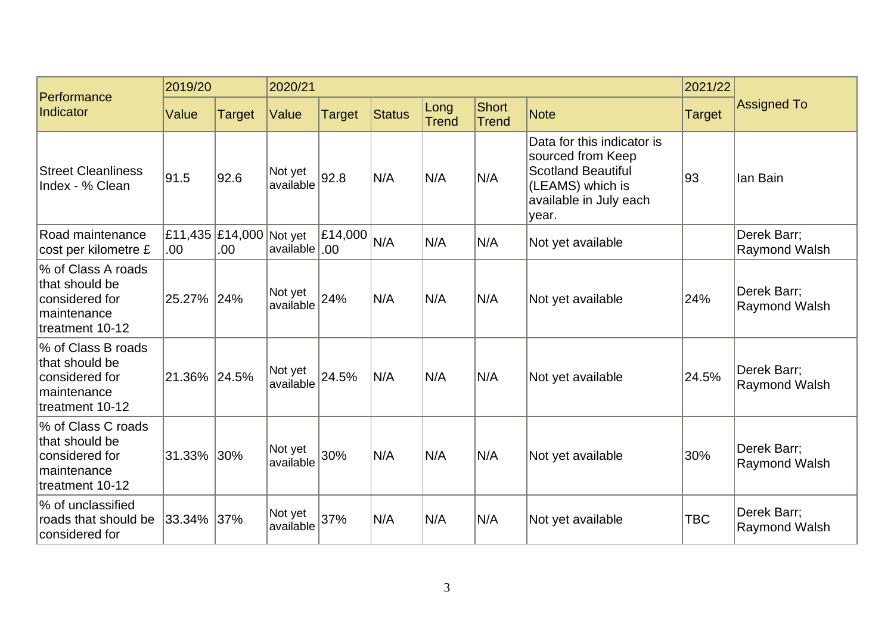| Performance                                                                               | 2019/20      |                                | 2020/21                     |                          |               |               |                              |                                                                                                                                     | 2021/22       |                                     |
|-------------------------------------------------------------------------------------------|--------------|--------------------------------|-----------------------------|--------------------------|---------------|---------------|------------------------------|-------------------------------------------------------------------------------------------------------------------------------------|---------------|-------------------------------------|
| Indicator                                                                                 | Value        | <b>Target</b>                  | Value                       | <b>Target</b>            | <b>Status</b> | Long<br>Trend | <b>Short</b><br><b>Trend</b> | <b>Note</b>                                                                                                                         | <b>Target</b> | <b>Assigned To</b>                  |
| <b>Street Cleanliness</b><br>Index - % Clean                                              | 91.5         | 92.6                           | Not yet<br>available        | 92.8                     | N/A           | N/A           | N/A                          | Data for this indicator is<br>sourced from Keep<br><b>Scotland Beautiful</b><br>(LEAMS) which is<br>available in July each<br>year. | 93            | llan Bain                           |
| Road maintenance<br>cost per kilometre £                                                  | .00          | £11,435 £14,000 Not yet<br>00. | available .00               | $ \text{\pounds}14,000 $ | N/A           | N/A           | N/A                          | Not yet available                                                                                                                   |               | Derek Barr;<br>Raymond Walsh        |
| % of Class A roads<br>that should be<br>considered for<br>maintenance<br>treatment 10-12  | 25.27%       | 24%                            | Not yet<br>$\frac{1}{24\%}$ |                          | N/A           | N/A           | N/A                          | Not yet available                                                                                                                   | 24%           | Derek Barr;<br>Raymond Walsh        |
| % of Class B roads<br>that should be<br>considered for<br>Imaintenance<br>treatment 10-12 | 21.36% 24.5% |                                | Not yet<br>available        | 24.5%                    | N/A           | N/A           | N/A                          | Not yet available                                                                                                                   | 24.5%         | Derek Barr;<br><b>Raymond Walsh</b> |
| % of Class C roads<br>that should be<br>considered for<br>maintenance<br>treatment 10-12  | 31.33%       | 30%                            | Not yet<br>available        | 30%                      | N/A           | N/A           | N/A                          | Not yet available                                                                                                                   | 30%           | Derek Barr;<br><b>Raymond Walsh</b> |
| % of unclassified<br>roads that should be<br>considered for                               | 33.34%       | 37%                            | Not yet<br>available        | 37%                      | N/A           | N/A           | N/A                          | Not yet available                                                                                                                   | <b>TBC</b>    | Derek Barr;<br><b>Raymond Walsh</b> |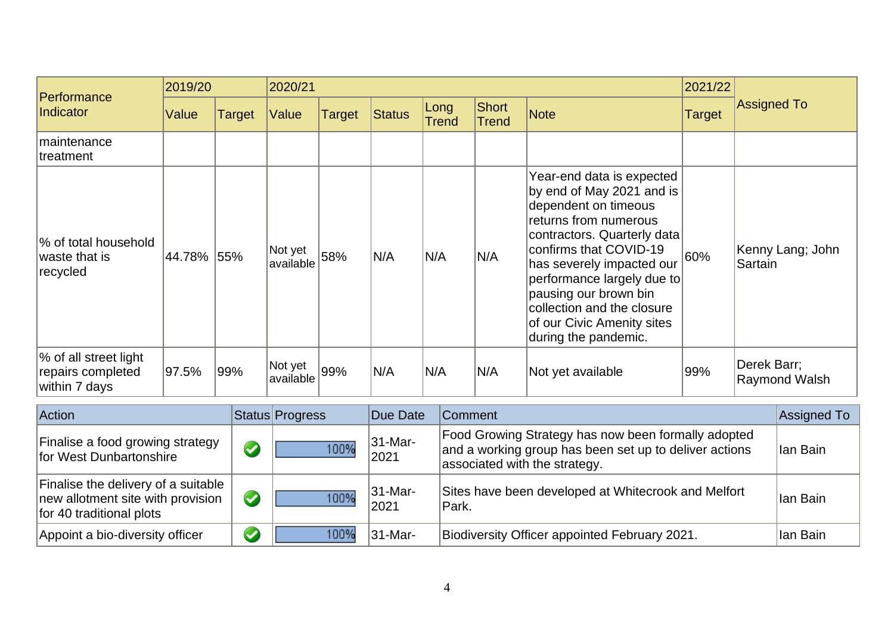| Performance                                                 | 2019/20    |               | 2020/21              |               |               |                      |                       |                                                                                                                                                                                                                                                                                                                                          | 2021/22       |                              |  |
|-------------------------------------------------------------|------------|---------------|----------------------|---------------|---------------|----------------------|-----------------------|------------------------------------------------------------------------------------------------------------------------------------------------------------------------------------------------------------------------------------------------------------------------------------------------------------------------------------------|---------------|------------------------------|--|
| Indicator                                                   | Value      | <b>Target</b> | Value                | <b>Target</b> | <b>Status</b> | Long<br><b>Trend</b> | Short<br><b>Trend</b> | Note                                                                                                                                                                                                                                                                                                                                     | <b>Target</b> | <b>Assigned To</b>           |  |
| maintenance<br>treatment                                    |            |               |                      |               |               |                      |                       |                                                                                                                                                                                                                                                                                                                                          |               |                              |  |
| % of total household<br>waste that is<br>recycled           | 44.78% 55% |               | Not yet<br>available | 58%           | N/A           | N/A                  | N/A                   | Year-end data is expected<br>by end of May 2021 and is<br>dependent on timeous<br>returns from numerous<br>contractors. Quarterly data<br>confirms that COVID-19<br>has severely impacted our<br>performance largely due to<br>pausing our brown bin<br>collection and the closure<br>of our Civic Amenity sites<br>during the pandemic. | 60%           | Kenny Lang; John<br>Sartain  |  |
| % of all street light<br>repairs completed<br>within 7 days | 97.5%      | 99%           | Not yet<br>available | 99%           | N/A           | N/A                  | N/A                   | Not yet available                                                                                                                                                                                                                                                                                                                        | 99%           | Derek Barr;<br>Raymond Walsh |  |

| Action                                                                                               |                      | Status Progress | Due Date              | <b>Comment</b>                                                                                                                                 | Assigned To |
|------------------------------------------------------------------------------------------------------|----------------------|-----------------|-----------------------|------------------------------------------------------------------------------------------------------------------------------------------------|-------------|
| Finalise a food growing strategy<br>for West Dunbartonshire                                          | $\blacklozenge$      | 100%            | $ 31 - Mar -$<br>2021 | Food Growing Strategy has now been formally adopted<br>and a working group has been set up to deliver actions<br>associated with the strategy. | Ian Bain    |
| Finalise the delivery of a suitable<br>new allotment site with provision<br>for 40 traditional plots | $\blacktriangledown$ | 100%            | $ 31 - Mar -$<br>2021 | Sites have been developed at Whitecrook and Melfort<br>Park.                                                                                   | llan Bain   |
| Appoint a bio-diversity officer                                                                      | $\blacktriangledown$ | 100%            | $ 31 - Mar -$         | Biodiversity Officer appointed February 2021.                                                                                                  | llan Bain   |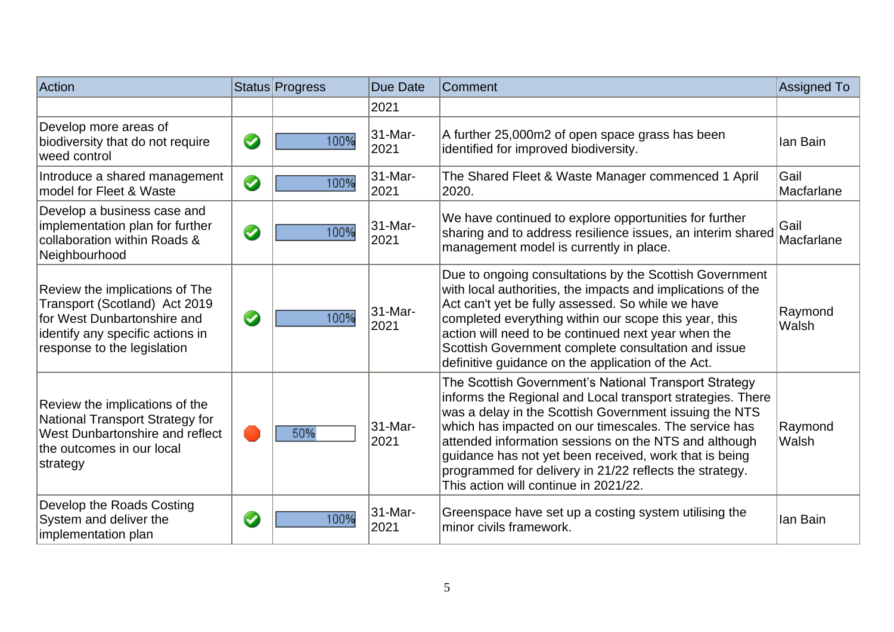| Action                                                                                                                                                            |           | Status Progress | <b>Due Date</b> | Comment                                                                                                                                                                                                                                                                                                                                                                                                                                                       | Assigned To               |
|-------------------------------------------------------------------------------------------------------------------------------------------------------------------|-----------|-----------------|-----------------|---------------------------------------------------------------------------------------------------------------------------------------------------------------------------------------------------------------------------------------------------------------------------------------------------------------------------------------------------------------------------------------------------------------------------------------------------------------|---------------------------|
|                                                                                                                                                                   |           |                 | 2021            |                                                                                                                                                                                                                                                                                                                                                                                                                                                               |                           |
| Develop more areas of<br>biodiversity that do not require<br>weed control                                                                                         | $\bullet$ | 100%            | 31-Mar-<br>2021 | A further 25,000m2 of open space grass has been<br>identified for improved biodiversity.                                                                                                                                                                                                                                                                                                                                                                      | lan Bain                  |
| Introduce a shared management<br>model for Fleet & Waste                                                                                                          | $\bullet$ | 100%            | 31-Mar-<br>2021 | The Shared Fleet & Waste Manager commenced 1 April<br>2020.                                                                                                                                                                                                                                                                                                                                                                                                   | <b>Gail</b><br>Macfarlane |
| Develop a business case and<br>implementation plan for further<br>collaboration within Roads &<br>Neighbourhood                                                   | $\bullet$ | 100%            | 31-Mar-<br>2021 | We have continued to explore opportunities for further<br>sharing and to address resilience issues, an interim shared<br>management model is currently in place.                                                                                                                                                                                                                                                                                              | Gail<br>Macfarlane        |
| Review the implications of The<br>Transport (Scotland) Act 2019<br>for West Dunbartonshire and<br>identify any specific actions in<br>response to the legislation | $\bullet$ | 100%            | 31-Mar-<br>2021 | Due to ongoing consultations by the Scottish Government<br>with local authorities, the impacts and implications of the<br>Act can't yet be fully assessed. So while we have<br>completed everything within our scope this year, this<br>action will need to be continued next year when the<br>Scottish Government complete consultation and issue<br>definitive guidance on the application of the Act.                                                      | Raymond<br>Walsh          |
| Review the implications of the<br>National Transport Strategy for<br>West Dunbartonshire and reflect<br>the outcomes in our local<br>strategy                     |           | 50%             | 31-Mar-<br>2021 | The Scottish Government's National Transport Strategy<br>informs the Regional and Local transport strategies. There<br>was a delay in the Scottish Government issuing the NTS<br>which has impacted on our timescales. The service has<br>attended information sessions on the NTS and although<br>guidance has not yet been received, work that is being<br>programmed for delivery in 21/22 reflects the strategy.<br>This action will continue in 2021/22. | Raymond<br>Walsh          |
| Develop the Roads Costing<br>System and deliver the<br>implementation plan                                                                                        | $\bullet$ | 100%            | 31-Mar-<br>2021 | Greenspace have set up a costing system utilising the<br>minor civils framework.                                                                                                                                                                                                                                                                                                                                                                              | lan Bain                  |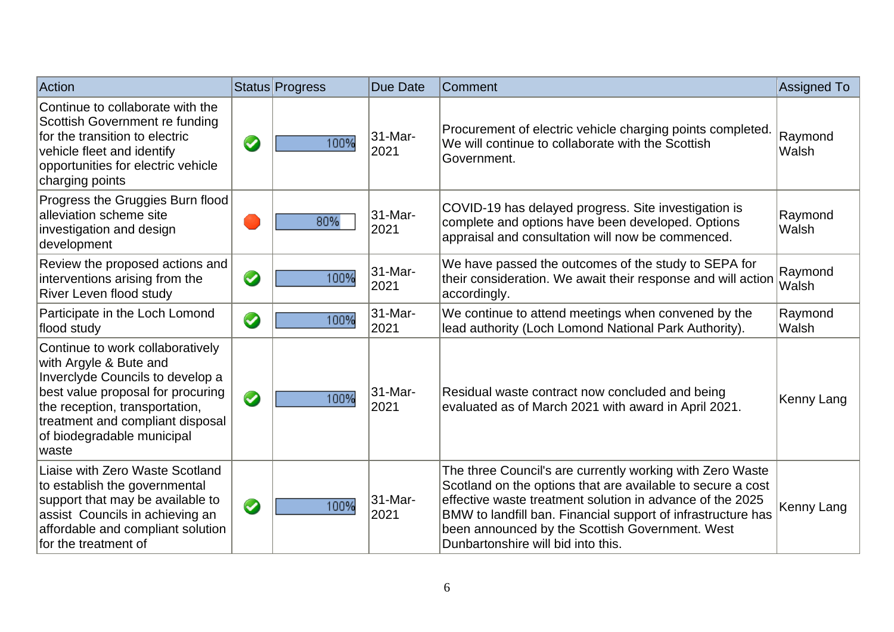| Action                                                                                                                                                                                                                                            |           | Status Progress | Due Date        | Comment                                                                                                                                                                                                                                                                                                                                        | Assigned To      |
|---------------------------------------------------------------------------------------------------------------------------------------------------------------------------------------------------------------------------------------------------|-----------|-----------------|-----------------|------------------------------------------------------------------------------------------------------------------------------------------------------------------------------------------------------------------------------------------------------------------------------------------------------------------------------------------------|------------------|
| Continue to collaborate with the<br>Scottish Government re funding<br>for the transition to electric<br>vehicle fleet and identify<br>opportunities for electric vehicle<br>charging points                                                       | $\bullet$ | 100%            | 31-Mar-<br>2021 | Procurement of electric vehicle charging points completed.<br>We will continue to collaborate with the Scottish<br>Government.                                                                                                                                                                                                                 | Raymond<br>Walsh |
| Progress the Gruggies Burn flood<br>alleviation scheme site<br>investigation and design<br>development                                                                                                                                            |           | 80%             | 31-Mar-<br>2021 | COVID-19 has delayed progress. Site investigation is<br>complete and options have been developed. Options<br>appraisal and consultation will now be commenced.                                                                                                                                                                                 | Raymond<br>Walsh |
| Review the proposed actions and<br>interventions arising from the<br><b>River Leven flood study</b>                                                                                                                                               | $\bullet$ | 100%            | 31-Mar-<br>2021 | We have passed the outcomes of the study to SEPA for<br>their consideration. We await their response and will action<br>accordingly.                                                                                                                                                                                                           | Raymond<br>Walsh |
| Participate in the Loch Lomond<br>flood study                                                                                                                                                                                                     | $\bullet$ | 100%            | 31-Mar-<br>2021 | We continue to attend meetings when convened by the<br>lead authority (Loch Lomond National Park Authority).                                                                                                                                                                                                                                   | Raymond<br>Walsh |
| Continue to work collaboratively<br>with Argyle & Bute and<br>Inverclyde Councils to develop a<br>best value proposal for procuring<br>the reception, transportation,<br>treatment and compliant disposal<br>of biodegradable municipal<br>lwaste | $\bullet$ | 100%            | 31-Mar-<br>2021 | Residual waste contract now concluded and being<br>evaluated as of March 2021 with award in April 2021.                                                                                                                                                                                                                                        | Kenny Lang       |
| Liaise with Zero Waste Scotland<br>to establish the governmental<br>support that may be available to<br>assist Councils in achieving an<br>affordable and compliant solution<br>for the treatment of                                              | $\bullet$ | 100%            | 31-Mar-<br>2021 | The three Council's are currently working with Zero Waste<br>Scotland on the options that are available to secure a cost<br>effective waste treatment solution in advance of the 2025<br>BMW to landfill ban. Financial support of infrastructure has<br>been announced by the Scottish Government. West<br>Dunbartonshire will bid into this. | Kenny Lang       |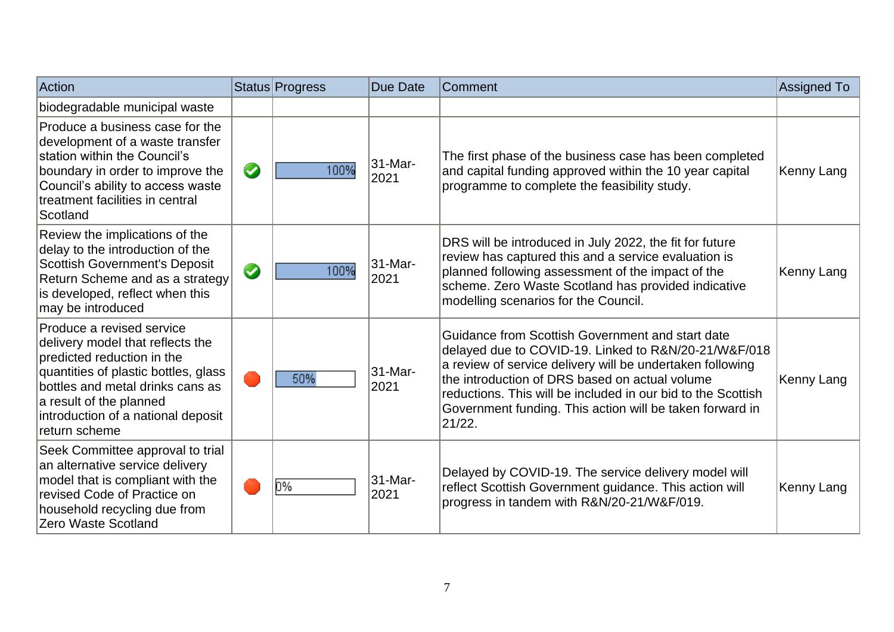| Action                                                                                                                                                                                                                                                    |            | Status Progress | Due Date        | Comment                                                                                                                                                                                                                                                                                                                                                       | Assigned To |
|-----------------------------------------------------------------------------------------------------------------------------------------------------------------------------------------------------------------------------------------------------------|------------|-----------------|-----------------|---------------------------------------------------------------------------------------------------------------------------------------------------------------------------------------------------------------------------------------------------------------------------------------------------------------------------------------------------------------|-------------|
| biodegradable municipal waste                                                                                                                                                                                                                             |            |                 |                 |                                                                                                                                                                                                                                                                                                                                                               |             |
| Produce a business case for the<br>development of a waste transfer<br>station within the Council's<br>boundary in order to improve the<br>Council's ability to access waste<br>treatment facilities in central<br>Scotland                                | $\bigcirc$ | 100%            | 31-Mar-<br>2021 | The first phase of the business case has been completed<br>and capital funding approved within the 10 year capital<br>programme to complete the feasibility study.                                                                                                                                                                                            | Kenny Lang  |
| Review the implications of the<br>delay to the introduction of the<br><b>Scottish Government's Deposit</b><br>Return Scheme and as a strategy<br>is developed, reflect when this<br>may be introduced                                                     | $\bigcirc$ | 100%            | 31-Mar-<br>2021 | DRS will be introduced in July 2022, the fit for future<br>review has captured this and a service evaluation is<br>planned following assessment of the impact of the<br>scheme. Zero Waste Scotland has provided indicative<br>modelling scenarios for the Council.                                                                                           | Kenny Lang  |
| Produce a revised service<br>delivery model that reflects the<br>predicted reduction in the<br>quantities of plastic bottles, glass<br>bottles and metal drinks cans as<br>a result of the planned<br>introduction of a national deposit<br>return scheme |            | 50%             | 31-Mar-<br>2021 | Guidance from Scottish Government and start date<br>delayed due to COVID-19. Linked to R&N/20-21/W&F/018<br>a review of service delivery will be undertaken following<br>the introduction of DRS based on actual volume<br>reductions. This will be included in our bid to the Scottish<br>Government funding. This action will be taken forward in<br>21/22. | Kenny Lang  |
| Seek Committee approval to trial<br>an alternative service delivery<br>model that is compliant with the<br>revised Code of Practice on<br>household recycling due from<br>Zero Waste Scotland                                                             |            | 0%              | 31-Mar-<br>2021 | Delayed by COVID-19. The service delivery model will<br>reflect Scottish Government guidance. This action will<br>progress in tandem with R&N/20-21/W&F/019.                                                                                                                                                                                                  | Kenny Lang  |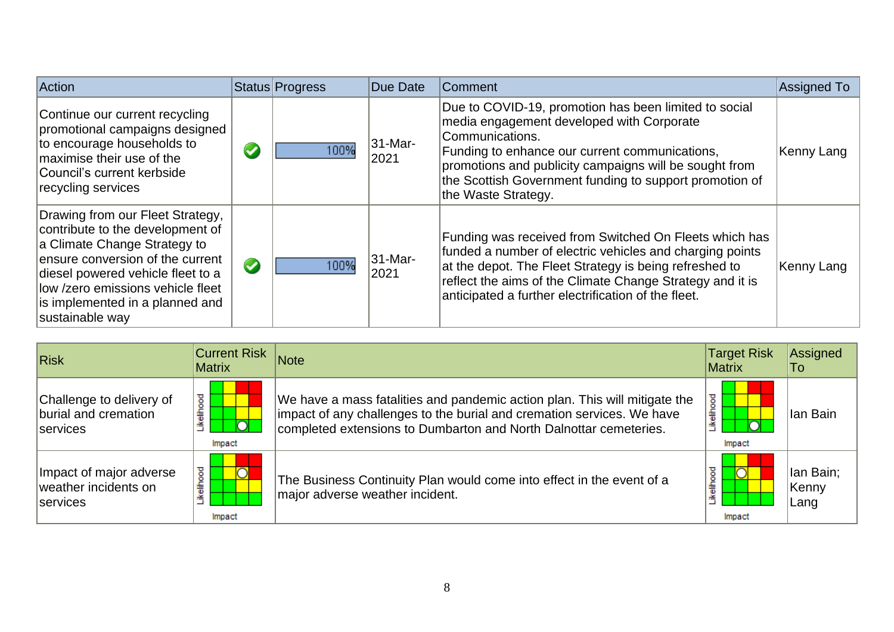| Action                                                                                                                                                                                                                                                                    |                      | Status Progress | Due Date        | <b>Comment</b>                                                                                                                                                                                                                                                                                                      | Assigned To |
|---------------------------------------------------------------------------------------------------------------------------------------------------------------------------------------------------------------------------------------------------------------------------|----------------------|-----------------|-----------------|---------------------------------------------------------------------------------------------------------------------------------------------------------------------------------------------------------------------------------------------------------------------------------------------------------------------|-------------|
| Continue our current recycling<br>promotional campaigns designed<br>to encourage households to<br>maximise their use of the<br>Council's current kerbside<br>recycling services                                                                                           | $\blacktriangledown$ | 100%            | 31-Mar-<br>2021 | Due to COVID-19, promotion has been limited to social<br>media engagement developed with Corporate<br>Communications.<br>Funding to enhance our current communications,<br>promotions and publicity campaigns will be sought from<br>the Scottish Government funding to support promotion of<br>the Waste Strategy. | Kenny Lang  |
| Drawing from our Fleet Strategy,<br>contribute to the development of<br>a Climate Change Strategy to<br>ensure conversion of the current<br>diesel powered vehicle fleet to a<br>llow /zero emissions vehicle fleet<br>is implemented in a planned and<br>sustainable way | $\bullet$            | 100%            | 31-Mar-<br>2021 | Funding was received from Switched On Fleets which has<br>funded a number of electric vehicles and charging points<br>at the depot. The Fleet Strategy is being refreshed to<br>reflect the aims of the Climate Change Strategy and it is<br>anticipated a further electrification of the fleet.                    | Kenny Lang  |

| <b>Risk</b>                                                         | <b>Current Risk</b><br><b>Matrix</b>      | Note                                                                                                                                                                                                                      | <b>Target Risk</b><br>Matrix | Assigned<br>To:             |
|---------------------------------------------------------------------|-------------------------------------------|---------------------------------------------------------------------------------------------------------------------------------------------------------------------------------------------------------------------------|------------------------------|-----------------------------|
| Challenge to delivery of<br>burial and cremation<br><b>Services</b> | ellhood<br>$\overline{\bigcap}$<br>Impact | We have a mass fatalities and pandemic action plan. This will mitigate the<br>impact of any challenges to the burial and cremation services. We have<br>completed extensions to Dumbarton and North Dalnottar cemeteries. | elihood<br>Impact            | llan Bain                   |
| Impact of major adverse<br>weather incidents on<br><b>Services</b>  | ष्ठ<br>.<br>''<br>Impact                  | The Business Continuity Plan would come into effect in the event of a<br>major adverse weather incident.                                                                                                                  | elihood<br>Impact            | Ian Bain;<br> Kenny<br>Lang |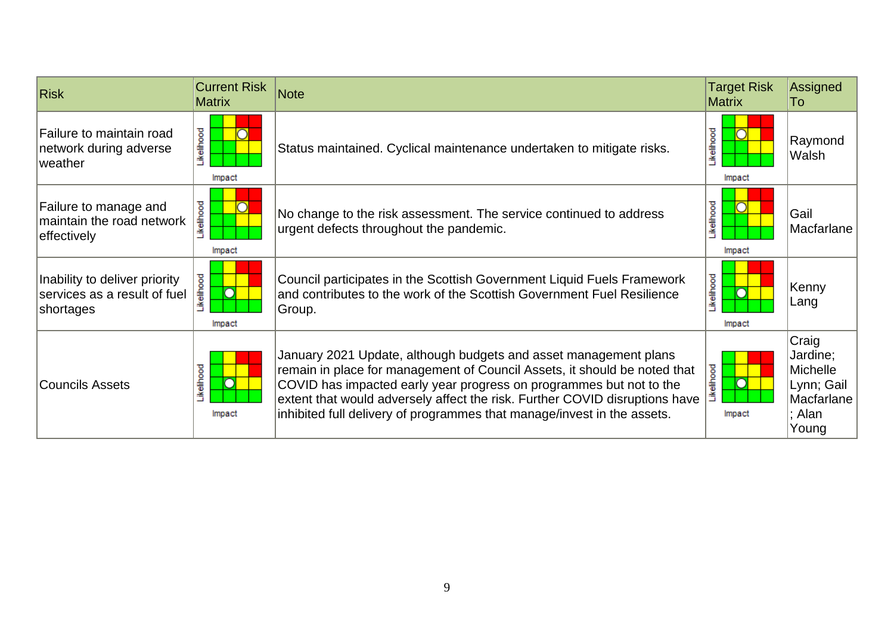| <b>Risk</b>                                                                | <b>Current Risk</b><br><b>Matrix</b> | <b>Note</b>                                                                                                                                                                                                                                                                                                                                                                    | <b>Target Risk</b><br><b>Matrix</b> | Assigned<br>To                                                               |
|----------------------------------------------------------------------------|--------------------------------------|--------------------------------------------------------------------------------------------------------------------------------------------------------------------------------------------------------------------------------------------------------------------------------------------------------------------------------------------------------------------------------|-------------------------------------|------------------------------------------------------------------------------|
| Failure to maintain road<br>network during adverse<br>weather              | Likelihood<br>Impact                 | Status maintained. Cyclical maintenance undertaken to mitigate risks.                                                                                                                                                                                                                                                                                                          | Likelihood<br>Impact                | Raymond<br>Walsh                                                             |
| Failure to manage and<br>maintain the road network<br>effectively          | ikelihood<br>Impact                  | No change to the risk assessment. The service continued to address<br>urgent defects throughout the pandemic.                                                                                                                                                                                                                                                                  | Likelihood<br>Impact                | Gail<br>Macfarlane                                                           |
| Inability to deliver priority<br>services as a result of fuel<br>shortages | <b>kellhood</b><br>Impact            | Council participates in the Scottish Government Liquid Fuels Framework<br>and contributes to the work of the Scottish Government Fuel Resilience<br>Group.                                                                                                                                                                                                                     | Likelihood<br>Impact                | Kenny<br>Lang                                                                |
| <b>Councils Assets</b>                                                     | <b>ikelihood</b><br>C<br>Impact      | January 2021 Update, although budgets and asset management plans<br>remain in place for management of Council Assets, it should be noted that<br>COVID has impacted early year progress on programmes but not to the<br>extent that would adversely affect the risk. Further COVID disruptions have<br>inhibited full delivery of programmes that manage/invest in the assets. | .ikelihood<br>Ō<br>Impact           | Craig<br>Jardine;<br>Michelle<br>Lynn; Gail<br>Macfarlane<br>; Alan<br>Young |